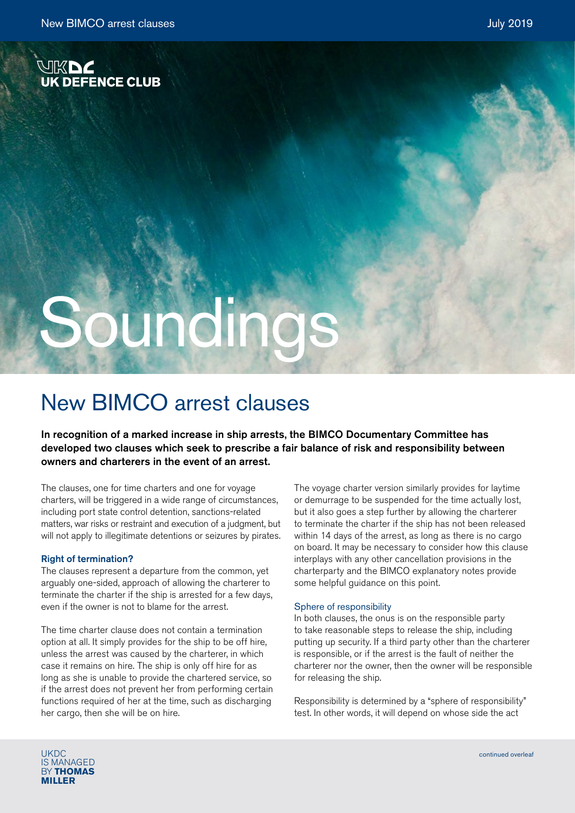

# Soundings

# New BIMCO arrest clauses

In recognition of a marked increase in ship arrests, the BIMCO Documentary Committee has developed two clauses which seek to prescribe a fair balance of risk and responsibility between owners and charterers in the event of an arrest.

The clauses, one for time charters and one for voyage charters, will be triggered in a wide range of circumstances, including port state control detention, sanctions-related matters, war risks or restraint and execution of a judgment, but will not apply to illegitimate detentions or seizures by pirates.

# Right of termination?

The clauses represent a departure from the common, yet arguably one-sided, approach of allowing the charterer to terminate the charter if the ship is arrested for a few days, even if the owner is not to blame for the arrest.

The time charter clause does not contain a termination option at all. It simply provides for the ship to be off hire, unless the arrest was caused by the charterer, in which case it remains on hire. The ship is only off hire for as long as she is unable to provide the chartered service, so if the arrest does not prevent her from performing certain functions required of her at the time, such as discharging her cargo, then she will be on hire.

The voyage charter version similarly provides for laytime or demurrage to be suspended for the time actually lost, but it also goes a step further by allowing the charterer to terminate the charter if the ship has not been released within 14 days of the arrest, as long as there is no cargo on board. It may be necessary to consider how this clause interplays with any other cancellation provisions in the charterparty and the BIMCO explanatory notes provide some helpful guidance on this point.

# Sphere of responsibility

In both clauses, the onus is on the responsible party to take reasonable steps to release the ship, including putting up security. If a third party other than the charterer is responsible, or if the arrest is the fault of neither the charterer nor the owner, then the owner will be responsible for releasing the ship.

Responsibility is determined by a "sphere of responsibility" test. In other words, it will depend on whose side the act